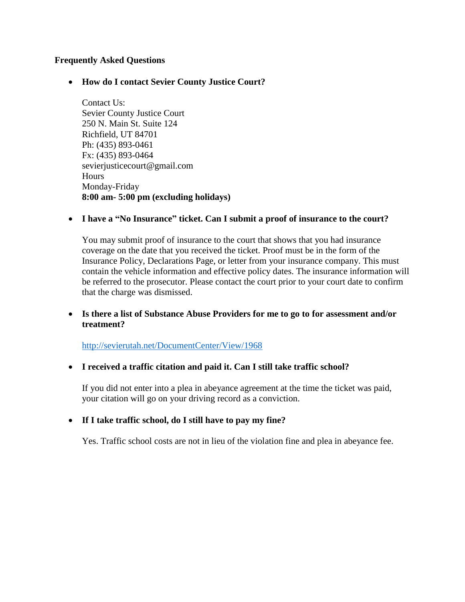## **Frequently Asked Questions**

### • **How do I contact Sevier County Justice Court?**

Contact Us: Sevier County Justice Court 250 N. Main St. Suite 124 Richfield, UT 84701 Ph: (435) 893-0461 Fx: (435) 893-0464 sevierjusticecourt@gmail.com **Hours** Monday-Friday **8:00 am- 5:00 pm (excluding holidays)**

### • **I have a "No Insurance" ticket. Can I submit a proof of insurance to the court?**

You may submit proof of insurance to the court that shows that you had insurance coverage on the date that you received the ticket. Proof must be in the form of the Insurance Policy, Declarations Page, or letter from your insurance company. This must contain the vehicle information and effective policy dates. The insurance information will be referred to the prosecutor. Please contact the court prior to your court date to confirm that the charge was dismissed.

## • **Is there a list of Substance Abuse Providers for me to go to for assessment and/or treatment?**

<http://sevierutah.net/DocumentCenter/View/1968>

### • **I received a traffic citation and paid it. Can I still take traffic school?**

If you did not enter into a plea in abeyance agreement at the time the ticket was paid, your citation will go on your driving record as a conviction.

# • **If I take traffic school, do I still have to pay my fine?**

Yes. Traffic school costs are not in lieu of the violation fine and plea in abeyance fee.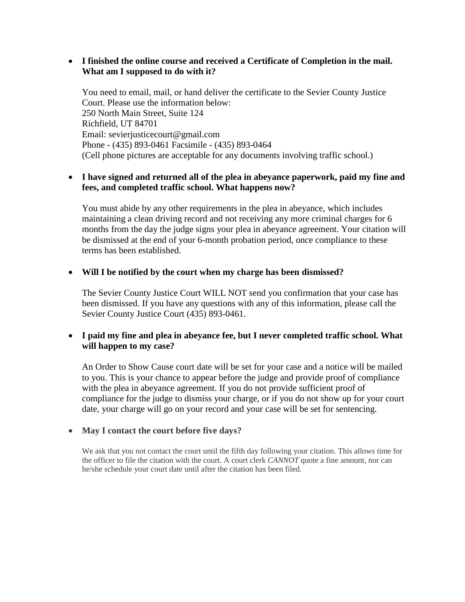# • **I finished the online course and received a Certificate of Completion in the mail. What am I supposed to do with it?**

You need to email, mail, or hand deliver the certificate to the Sevier County Justice Court. Please use the information below: 250 North Main Street, Suite 124 Richfield, UT 84701 Email: sevierjusticecourt@gmail.com Phone - (435) 893-0461 Facsimile - (435) 893-0464 (Cell phone pictures are acceptable for any documents involving traffic school.)

## • **I have signed and returned all of the plea in abeyance paperwork, paid my fine and fees, and completed traffic school. What happens now?**

You must abide by any other requirements in the plea in abeyance, which includes maintaining a clean driving record and not receiving any more criminal charges for 6 months from the day the judge signs your plea in abeyance agreement. Your citation will be dismissed at the end of your 6-month probation period, once compliance to these terms has been established.

### • **Will I be notified by the court when my charge has been dismissed?**

The Sevier County Justice Court WILL NOT send you confirmation that your case has been dismissed. If you have any questions with any of this information, please call the Sevier County Justice Court (435) 893-0461.

## • **I paid my fine and plea in abeyance fee, but I never completed traffic school. What will happen to my case?**

An Order to Show Cause court date will be set for your case and a notice will be mailed to you. This is your chance to appear before the judge and provide proof of compliance with the plea in abeyance agreement. If you do not provide sufficient proof of compliance for the judge to dismiss your charge, or if you do not show up for your court date, your charge will go on your record and your case will be set for sentencing.

### • **May I contact the court before five days?**

We ask that you not contact the court until the fifth day following your citation. This allows time for the officer to file the citation with the court. A court clerk *CANNOT* quote a fine amount, nor can he/she schedule your court date until after the citation has been filed.